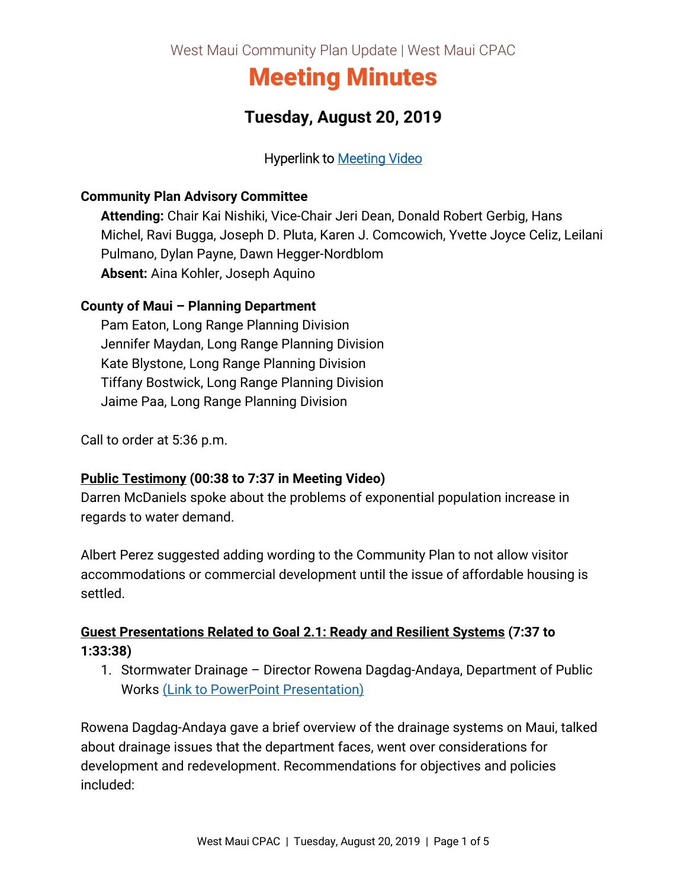West Maui Community Plan Update | West Maui CPAC

# Meeting Minutes

# **Tuesday, August 20, 2019**

### Hyperlink to [Meeting Video](https://archive.org/190820-wmcpac)

#### **Community Plan Advisory Committee**

**Attending:** Chair Kai Nishiki, Vice-Chair Jeri Dean, Donald Robert Gerbig, Hans Michel, Ravi Bugga, Joseph D. Pluta, Karen J. Comcowich, Yvette Joyce Celiz, Leilani Pulmano, Dylan Payne, Dawn Hegger-Nordblom **Absent:** Aina Kohler, Joseph Aquino

#### **County of Maui – Planning Department**

Pam Eaton, Long Range Planning Division Jennifer Maydan, Long Range Planning Division Kate Blystone, Long Range Planning Division Tiffany Bostwick, Long Range Planning Division Jaime Paa, Long Range Planning Division

Call to order at 5:36 p.m.

#### **Public Testimony (00:38 to 7:37 in Meeting Video)**

Darren McDaniels spoke about the problems of exponential population increase in regards to water demand.

Albert Perez suggested adding wording to the Community Plan to not allow visitor accommodations or commercial development until the issue of affordable housing is settled.

## **Guest Presentations Related to Goal 2.1: Ready and Resilient Systems (7:37 to 1:33:38)**

1. Stormwater Drainage – Director Rowena Dagdag-Andaya, Department of Public Works [\(Link to PowerPoint Presentation\)](https://wearemaui.konveio.com/sites/wearemaui.konveio.com/files/u14/8.20.19%20Guest%20Presentation%20-%20Stormwater%20Drainage.pdf)

Rowena Dagdag-Andaya gave a brief overview of the drainage systems on Maui, talked about drainage issues that the department faces, went over considerations for development and redevelopment. Recommendations for objectives and policies included: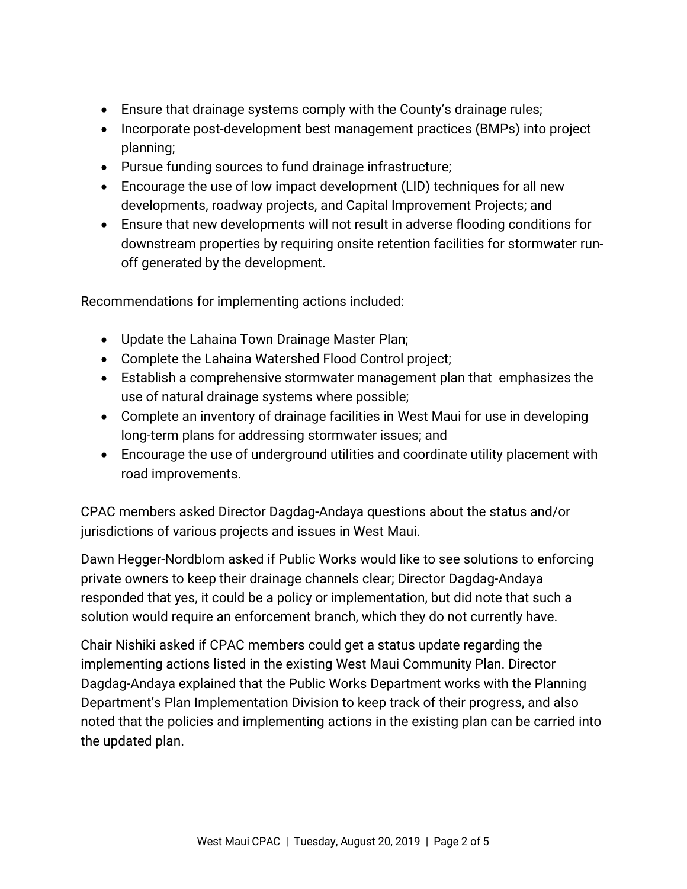- Ensure that drainage systems comply with the County's drainage rules;
- Incorporate post-development best management practices (BMPs) into project planning;
- Pursue funding sources to fund drainage infrastructure;
- Encourage the use of low impact development (LID) techniques for all new developments, roadway projects, and Capital Improvement Projects; and
- Ensure that new developments will not result in adverse flooding conditions for downstream properties by requiring onsite retention facilities for stormwater runoff generated by the development.

Recommendations for implementing actions included:

- Update the Lahaina Town Drainage Master Plan;
- Complete the Lahaina Watershed Flood Control project;
- Establish a comprehensive stormwater management plan that emphasizes the use of natural drainage systems where possible;
- Complete an inventory of drainage facilities in West Maui for use in developing long-term plans for addressing stormwater issues; and
- Encourage the use of underground utilities and coordinate utility placement with road improvements.

CPAC members asked Director Dagdag-Andaya questions about the status and/or jurisdictions of various projects and issues in West Maui.

Dawn Hegger-Nordblom asked if Public Works would like to see solutions to enforcing private owners to keep their drainage channels clear; Director Dagdag-Andaya responded that yes, it could be a policy or implementation, but did note that such a solution would require an enforcement branch, which they do not currently have.

Chair Nishiki asked if CPAC members could get a status update regarding the implementing actions listed in the existing West Maui Community Plan. Director Dagdag-Andaya explained that the Public Works Department works with the Planning Department's Plan Implementation Division to keep track of their progress, and also noted that the policies and implementing actions in the existing plan can be carried into the updated plan.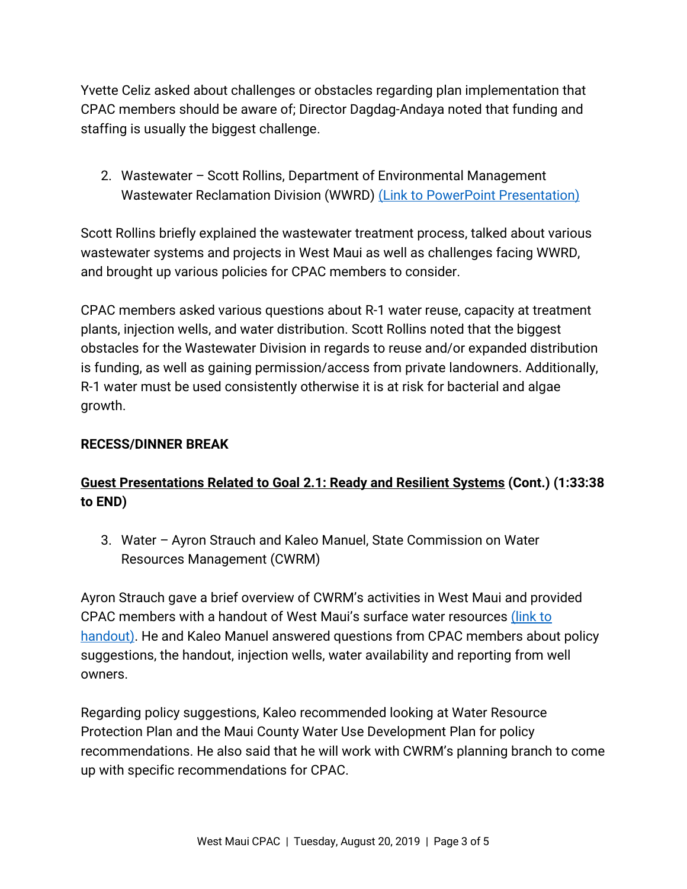Yvette Celiz asked about challenges or obstacles regarding plan implementation that CPAC members should be aware of; Director Dagdag-Andaya noted that funding and staffing is usually the biggest challenge.

2. Wastewater – Scott Rollins, Department of Environmental Management Wastewater Reclamation Division (WWRD) [\(Link to PowerPoint Presentation\)](https://wearemaui.konveio.com/sites/wearemaui.konveio.com/files/u14/8.20.19%20Guest%20Presentation%20-%20Wastewater.pdf)

Scott Rollins briefly explained the wastewater treatment process, talked about various wastewater systems and projects in West Maui as well as challenges facing WWRD, and brought up various policies for CPAC members to consider.

CPAC members asked various questions about R-1 water reuse, capacity at treatment plants, injection wells, and water distribution. Scott Rollins noted that the biggest obstacles for the Wastewater Division in regards to reuse and/or expanded distribution is funding, as well as gaining permission/access from private landowners. Additionally, R-1 water must be used consistently otherwise it is at risk for bacterial and algae growth.

#### **RECESS/DINNER BREAK**

# **Guest Presentations Related to Goal 2.1: Ready and Resilient Systems (Cont.) (1:33:38 to END)**

3. Water – Ayron Strauch and Kaleo Manuel, State Commission on Water Resources Management (CWRM)

Ayron Strauch gave a brief overview of CWRM's activities in West Maui and provided CPAC members with a handout of West Maui's surface water resources [\(link to](https://wearemaui.konveio.com/sites/wearemaui.konveio.com/files/u14/8.20.19%20CWRM_Handout_WMSurfaceWaterResources.pdf)  [handout\).](https://wearemaui.konveio.com/sites/wearemaui.konveio.com/files/u14/8.20.19%20CWRM_Handout_WMSurfaceWaterResources.pdf) He and Kaleo Manuel answered questions from CPAC members about policy suggestions, the handout, injection wells, water availability and reporting from well owners.

Regarding policy suggestions, Kaleo recommended looking at Water Resource Protection Plan and the Maui County Water Use Development Plan for policy recommendations. He also said that he will work with CWRM's planning branch to come up with specific recommendations for CPAC.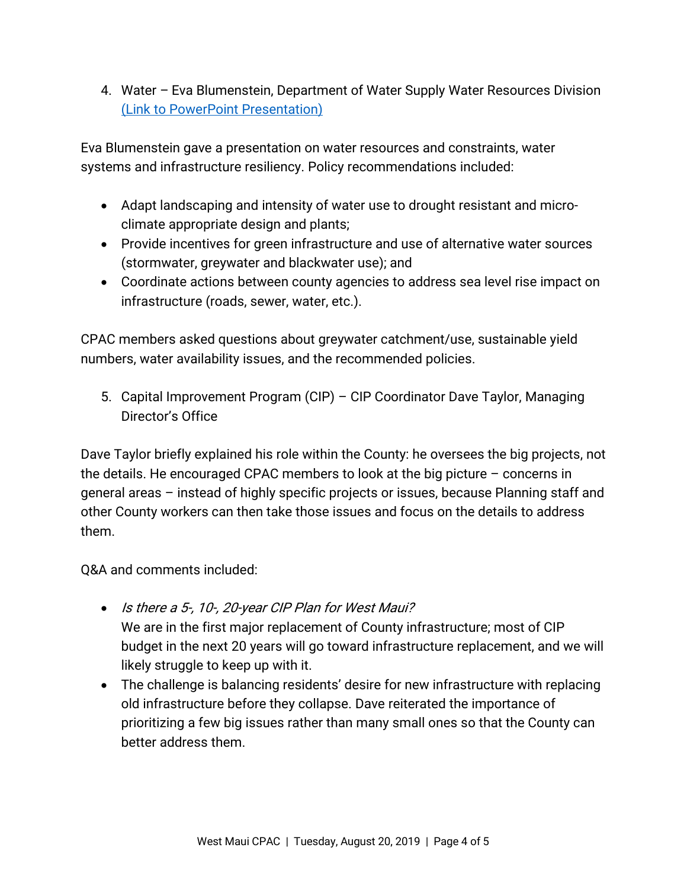4. Water – Eva Blumenstein, Department of Water Supply Water Resources Division [\(Link to PowerPoint Presentation\)](https://wearemaui.konveio.com/sites/wearemaui.konveio.com/files/u14/8.20.19%20Guest%20Presentation%20-%20Water.pdf)

Eva Blumenstein gave a presentation on water resources and constraints, water systems and infrastructure resiliency. Policy recommendations included:

- Adapt landscaping and intensity of water use to drought resistant and microclimate appropriate design and plants;
- Provide incentives for green infrastructure and use of alternative water sources (stormwater, greywater and blackwater use); and
- Coordinate actions between county agencies to address sea level rise impact on infrastructure (roads, sewer, water, etc.).

CPAC members asked questions about greywater catchment/use, sustainable yield numbers, water availability issues, and the recommended policies.

5. Capital Improvement Program (CIP) – CIP Coordinator Dave Taylor, Managing Director's Office

Dave Taylor briefly explained his role within the County: he oversees the big projects, not the details. He encouraged CPAC members to look at the big picture – concerns in general areas – instead of highly specific projects or issues, because Planning staff and other County workers can then take those issues and focus on the details to address them.

Q&A and comments included:

- Is there a 5-, 10-, 20-year CIP Plan for West Maui? We are in the first major replacement of County infrastructure; most of CIP budget in the next 20 years will go toward infrastructure replacement, and we will likely struggle to keep up with it.
- The challenge is balancing residents' desire for new infrastructure with replacing old infrastructure before they collapse. Dave reiterated the importance of prioritizing a few big issues rather than many small ones so that the County can better address them.